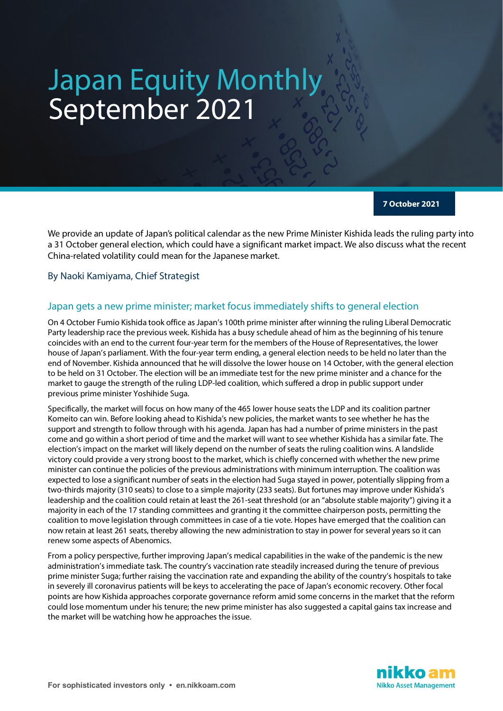# Japan Equity Monthly September 2021

**7 October 2021**

We provide an update of Japan's political calendar as the new Prime Minister Kishida leads the ruling party into a 31 October general election, which could have a significant market impact. We also discuss what the recent China-related volatility could mean for the Japanese market.

By Naoki Kamiyama, Chief Strategist

## Japan gets a new prime minister; market focus immediately shifts to general election

On 4 October Fumio Kishida took office as Japan's 100th prime minister after winning the ruling Liberal Democratic Party leadership race the previous week. Kishida has a busy schedule ahead of him as the beginning of his tenure coincides with an end to the current four-year term for the members of the House of Representatives, the lower house of Japan's parliament. With the four-year term ending, a general election needs to be held no later than the end of November. Kishida announced that he will dissolve the lower house on 14 October, with the general election to be held on 31 October. The election will be an immediate test for the new prime minister and a chance for the market to gauge the strength of the ruling LDP-led coalition, which suffered a drop in public support under previous prime minister Yoshihide Suga.

Specifically, the market will focus on how many of the 465 lower house seats the LDP and its coalition partner Komeito can win. Before looking ahead to Kishida's new policies, the market wants to see whether he has the support and strength to follow through with his agenda. Japan has had a number of prime ministers in the past come and go within a short period of time and the market will want to see whether Kishida has a similar fate. The election's impact on the market will likely depend on the number ofseats the ruling coalition wins. A landslide victory could provide a very strong boost to the market, which is chiefly concerned with whether the new prime minister can continue the policies of the previous administrations with minimum interruption. The coalition was expected to lose a significant number of seats in the election had Suga stayed in power, potentially slipping from a two-thirds majority (310 seats) to close to a simple majority (233 seats). But fortunes may improve under Kishida's leadership and the coalition could retain at least the 261-seat threshold (or an "absolute stable majority") giving it a majority in each of the 17 standing committees and granting it the committee chairperson posts, permitting the coalition to move legislation through committees in case of a tie vote. Hopes have emerged that the coalition can now retain at least 261 seats, thereby allowing the new administration to stay in power for several years so it can renew some aspects of Abenomics.

From a policy perspective, further improving Japan's medical capabilities in the wake of the pandemic is the new administration's immediate task. The country's vaccination rate steadily increased during the tenure of previous prime minister Suga; further raising the vaccination rate and expanding the ability of the country's hospitals to take in severely ill coronavirus patients will be keys to accelerating the pace of Japan's economic recovery. Other focal points are how Kishida approaches corporate governance reform amid some concerns in the market that the reform could lose momentum under his tenure; the new prime minister has also suggested a capital gains tax increase and the market will be watching how he approaches the issue.

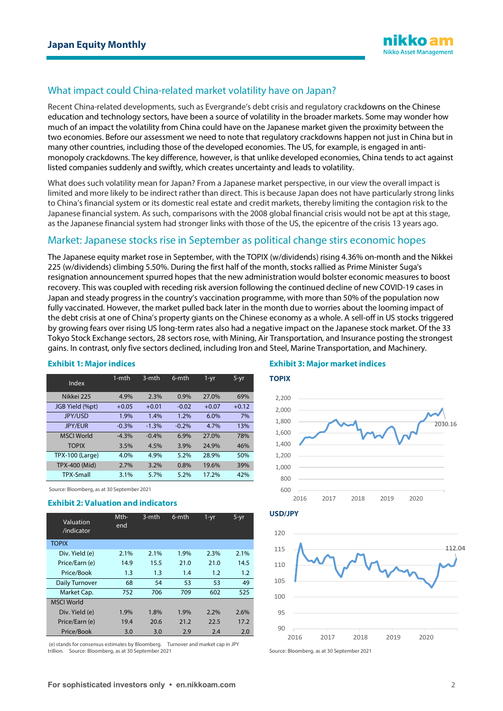

# What impact could China-related market volatility have on Japan?

Recent China-related developments, such as Evergrande's debt crisis and regulatory crackdowns on the Chinese education and technology sectors, have been a source of volatility in the broader markets. Some may wonder how much of an impact the volatility from China could have on the Japanese market given the proximity between the two economies. Before our assessment we need to note that regulatory crackdowns happen not just in China but in many other countries, including those of the developed economies. The US, for example, is engaged in antimonopoly crackdowns. The key difference, however, is that unlike developed economies, China tends to act against listed companies suddenly and swiftly, which creates uncertainty and leads to volatility.

What does such volatility mean for Japan? From a Japanese market perspective, in our view the overall impact is limited and more likely to be indirect rather than direct. This is because Japan does not have particularly strong links to China's financial system or its domestic real estate and credit markets, thereby limiting the contagion risk to the Japanese financial system. As such, comparisons with the 2008 global financial crisis would not be apt at this stage, as the Japanese financial system had stronger links with those of the US, the epicentre of the crisis 13 years ago.

## Market: Japanese stocks rise in September as political change stirs economic hopes

The Japanese equity market rose in September, with the TOPIX (w/dividends) rising 4.36% on-month and the Nikkei 225 (w/dividends) climbing 5.50%. During the first half of the month, stocks rallied as Prime Minister Suga's resignation announcement spurred hopes that the new administration would bolster economic measures to boost recovery. This was coupled with receding risk aversion following the continued decline of new COVID-19 cases in Japan and steady progress in the country's vaccination programme, with more than 50% of the population now fully vaccinated. However, the market pulled back later in the month due to worries about the looming impact of the debt crisis at one of China's property giants on the Chinese economy as a whole. A sell-off in US stocks triggered by growing fears over rising US long-term rates also had a negative impact on the Japanese stock market. Of the 33 Tokyo Stock Exchange sectors, 28 sectors rose, with Mining, Air Transportation, and Insurance posting the strongest gains. In contrast, only five sectors declined, including Iron and Steel, Marine Transportation, and Machinery.

| Index                  | $1 - mth$ | 3-mth   | 6-mth   | 1-yr    | $5-yr$  |
|------------------------|-----------|---------|---------|---------|---------|
| Nikkei 225             | 4.9%      | 2.3%    | 0.9%    | 27.0%   | 69%     |
| JGB Yield (%pt)        | $+0.05$   | $+0.01$ | $-0.02$ | $+0.07$ | $+0.12$ |
| <b>JPY/USD</b>         | 1.9%      | 1.4%    | 1.2%    | 6.0%    | 7%      |
| <b>JPY/EUR</b>         | $-0.3%$   | $-1.3%$ | $-0.2%$ | 4.7%    | 13%     |
| <b>MSCI World</b>      | $-4.3%$   | $-0.4%$ | 6.9%    | 27.0%   | 78%     |
| <b>TOPIX</b>           | 3.5%      | 4.5%    | 3.9%    | 24.9%   | 46%     |
| <b>TPX-100 (Large)</b> | 4.0%      | 4.9%    | 5.2%    | 28.9%   | 50%     |
| TPX-400 (Mid)          | 2.7%      | 3.2%    | 0.8%    | 19.6%   | 39%     |
| <b>TPX-Small</b>       | 3.1%      | 5.7%    | 5.2%    | 17.2%   | 42%     |

#### **Exhibit 1: Major indices**

Source: Bloomberg, as at 30 September 2021

#### **Exhibit 2: Valuation and indicators**

| Valuation<br>/indicator | Mth-<br>end | 3-mth | 6-mth | $1 - yr$ | $5-yr$  |
|-------------------------|-------------|-------|-------|----------|---------|
| <b>TOPIX</b>            |             |       |       |          |         |
| Div. Yield (e)          | 2.1%        | 2.1%  | 1.9%  | 2.3%     | 2.1%    |
| Price/Earn (e)          | 14.9        | 15.5  | 21.0  | 21.0     | 14.5    |
| Price/Book              | 1.3         | 1.3   | 1.4   | 1.2      | 1.2     |
| Daily Turnover          | 68          | 54    | 53    | 53       | 49      |
| Market Cap.             | 752         | 706   | 709   | 602      | 525     |
| <b>MSCI World</b>       |             |       |       |          |         |
| Div. Yield (e)          | 1.9%        | 1.8%  | 1.9%  | 2.2%     | $2.6\%$ |
| Price/Earn (e)          | 19.4        | 20.6  | 21.2  | 22.5     | 17.2    |
| Price/Book              | 3.0         | 3.0   | 2.9   | 2.4      | 2.0     |

(e) stands for consensus estimates by Bloomberg. Turnover and market cap in JPY trillion. Source: Bloomberg, as at 30 September 2021

### **Exhibit 3: Major market indices**



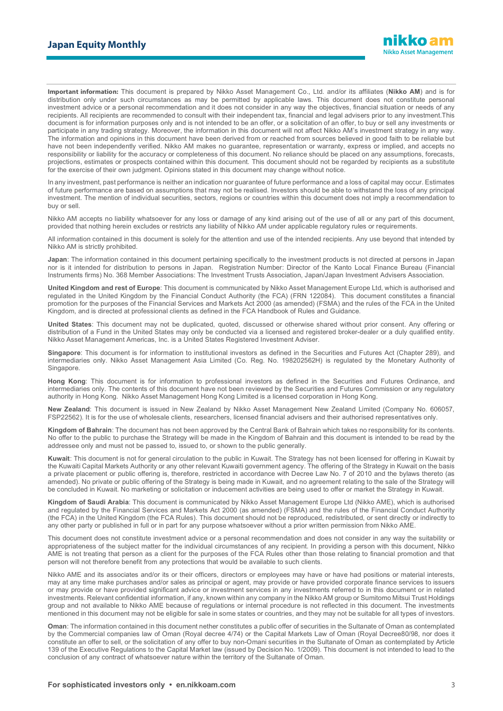**Important information:** This document is prepared by Nikko Asset Management Co., Ltd. and/or its affiliates (**Nikko AM**) and is for distribution only under such circumstances as may be permitted by applicable laws. This document does not constitute personal investment advice or a personal recommendation and it does not consider in any way the objectives, financial situation or needs of any recipients. All recipients are recommended to consult with their independent tax, financial and legal advisers prior to any investment.This document is for information purposes only and is not intended to be an offer, or a solicitation of an offer, to buy or sell any investments or participate in any trading strategy. Moreover, the information in this document will not affect Nikko AM's investment strategy in any way. The information and opinions in this document have been derived from or reached from sources believed in good faith to be reliable but have not been independently verified. Nikko AM makes no guarantee, representation or warranty, express or implied, and accepts no responsibility or liability for the accuracy or completeness of this document. No reliance should be placed on any assumptions, forecasts, projections, estimates or prospects contained within this document. This document should not be regarded by recipients as a substitute for the exercise of their own judgment. Opinions stated in this document may change without notice.

In any investment, past performance is neither an indication nor guarantee of future performance and a loss of capital may occur. Estimates of future performance are based on assumptions that may not be realised. Investors should be able to withstand the loss of any principal investment. The mention of individual securities, sectors, regions or countries within this document does not imply a recommendation to buy or sell.

Nikko AM accepts no liability whatsoever for any loss or damage of any kind arising out of the use of all or any part of this document, provided that nothing herein excludes or restricts any liability of Nikko AM under applicable regulatory rules or requirements.

All information contained in this document is solely for the attention and use of the intended recipients. Any use beyond that intended by Nikko AM is strictly prohibited.

**Japan**: The information contained in this document pertaining specifically to the investment products is not directed at persons in Japan nor is it intended for distribution to persons in Japan. Registration Number: Director of the Kanto Local Finance Bureau (Financial Instruments firms) No. 368 Member Associations: The Investment Trusts Association, Japan/Japan Investment Advisers Association.

**United Kingdom and rest of Europe**: This document is communicated by Nikko Asset Management Europe Ltd, which is authorised and regulated in the United Kingdom by the Financial Conduct Authority (the FCA) (FRN 122084). This document constitutes a financial promotion for the purposes of the Financial Services and Markets Act 2000 (as amended) (FSMA) and the rules of the FCA in the United Kingdom, and is directed at professional clients as defined in the FCA Handbook of Rules and Guidance.

**United States**: This document may not be duplicated, quoted, discussed or otherwise shared without prior consent. Any offering or distribution of a Fund in the United States may only be conducted via a licensed and registered broker-dealer or a duly qualified entity. Nikko Asset Management Americas, Inc. is a United States Registered Investment Adviser.

**Singapore**: This document is for information to institutional investors as defined in the Securities and Futures Act (Chapter 289), and intermediaries only. Nikko Asset Management Asia Limited (Co. Reg. No. 198202562H) is regulated by the Monetary Authority of **Singapore** 

**Hong Kong**: This document is for information to professional investors as defined in the Securities and Futures Ordinance, and intermediaries only. The contents of this document have not been reviewed by the Securities and Futures Commission or any regulatory authority in Hong Kong. Nikko Asset Management Hong Kong Limited is a licensed corporation in Hong Kong.

**New Zealand**: This document is issued in New Zealand by Nikko Asset Management New Zealand Limited (Company No. 606057, FSP22562). It is for the use of wholesale clients, researchers, licensed financial advisers and their authorised representatives only.

**Kingdom of Bahrain**: The document has not been approved by the Central Bank of Bahrain which takes no responsibility for its contents. No offer to the public to purchase the Strategy will be made in the Kingdom of Bahrain and this document is intended to be read by the addressee only and must not be passed to, issued to, or shown to the public generally.

**Kuwait**: This document is not for general circulation to the public in Kuwait. The Strategy has not been licensed for offering in Kuwait by the Kuwaiti Capital Markets Authority or any other relevant Kuwaiti government agency. The offering of the Strategy in Kuwait on the basis a private placement or public offering is, therefore, restricted in accordance with Decree Law No. 7 of 2010 and the bylaws thereto (as amended). No private or public offering of the Strategy is being made in Kuwait, and no agreement relating to the sale of the Strategy will be concluded in Kuwait. No marketing or solicitation or inducement activities are being used to offer or market the Strategy in Kuwait.

**Kingdom of Saudi Arabia**: This document is communicated by Nikko Asset Management Europe Ltd (Nikko AME), which is authorised and regulated by the Financial Services and Markets Act 2000 (as amended) (FSMA) and the rules of the Financial Conduct Authority (the FCA) in the United Kingdom (the FCA Rules). This document should not be reproduced, redistributed, or sent directly or indirectly to any other party or published in full or in part for any purpose whatsoever without a prior written permission from Nikko AME.

This document does not constitute investment advice or a personal recommendation and does not consider in any way the suitability or appropriateness of the subject matter for the individual circumstances of any recipient. In providing a person with this document, Nikko AME is not treating that person as a client for the purposes of the FCA Rules other than those relating to financial promotion and that person will not therefore benefit from any protections that would be available to such clients.

Nikko AME and its associates and/or its or their officers, directors or employees may have or have had positions or material interests, may at any time make purchases and/or sales as principal or agent, may provide or have provided corporate finance services to issuers or may provide or have provided significant advice or investment services in any investments referred to in this document or in related investments. Relevant confidential information, if any, known within any company in the Nikko AM group or Sumitomo Mitsui Trust Holdings group and not available to Nikko AME because of regulations or internal procedure is not reflected in this document. The investments mentioned in this document may not be eligible for sale in some states or countries, and they may not be suitable for all types of investors.

**Oman:** The information contained in this document nether constitutes a public offer of securities in the Sultanate of Oman as contemplated by the Commercial companies law of Oman (Royal decree 4/74) or the Capital Markets Law of Oman (Royal Decree80/98, nor does it constitute an offer to sell, or the solicitation of any offer to buy non-Omani securities in the Sultanate of Oman as contemplated by Article 139 of the Executive Regulations to the Capital Market law (issued by Decision No. 1/2009). This document is not intended to lead to the conclusion of any contract of whatsoever nature within the territory of the Sultanate of Oman.